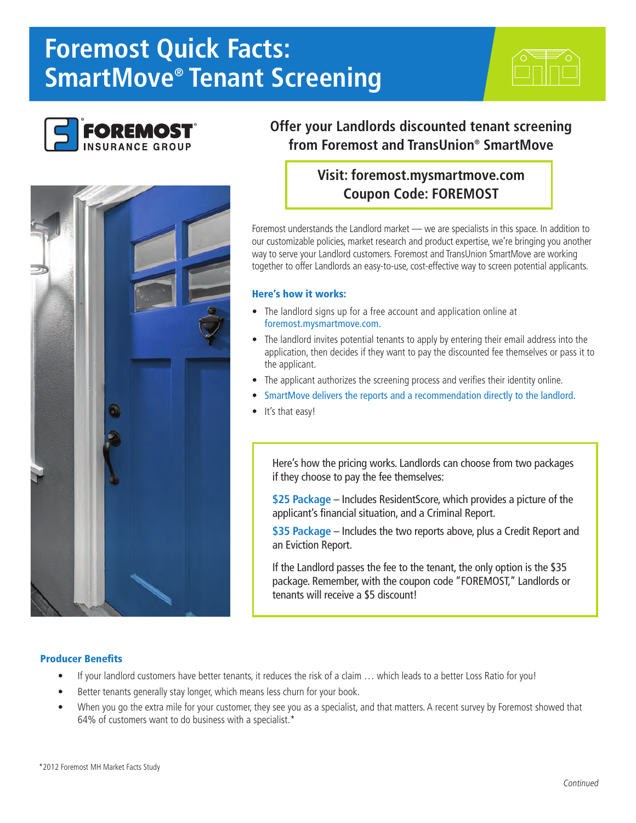# **Foremost Quick Facts: SmartMove® Tenant Screening**





# **Offer your Landlords discounted tenant screening from Foremost and TransUnion® SmartMove**

## **Visit: foremost.mysmartmove.com Coupon Code: FOREMOST**

Foremost understands the Landlord market - we are specialists in this space. In addition to our customizable policies, market research and product expertise, we're bringing you another way to serve your Landlord customers. Foremost and TransUnion SmartMove are working together to offer Landlords an easy-to-use, cost-effective way to screen potential applicants.

#### Here's how it works:

- The landlord signs up for a free account and application online at foremost.mysmartmove.com.
- The landlord invites potential tenants to apply by entering their email address into the application, then decides if they want to pay the discounted fee themselves or pass it to the applicant.
- The applicant authorizes the screening process and verifies their identity online.
- SmartMove delivers the reports and a recommendation directly to the landlord.
- It's that easy!

Here's how the pricing works. Landlords can choose from two packages if they choose to pay the fee themselves:

**\$25 Package** – Includes ResidentScore, which provides a picture of the applicant's financial situation, and a Criminal Report.

**\$35 Package** – Includes the two reports above, plus a Credit Report and an Eviction Report.

If the Landlord passes the fee to the tenant, the only option is the \$35 package. Remember, with the coupon code "FOREMOST," Landlords or tenants will receive a \$5 discount!

### Producer Benefits

- If your landlord customers have better tenants, it reduces the risk of a claim … which leads to a better Loss Ratio for you!
- Better tenants generally stay longer, which means less churn for your book.
- When you go the extra mile for your customer, they see you as a specialist, and that matters. A recent survey by Foremost showed that 64% of customers want to do business with a specialist.\*